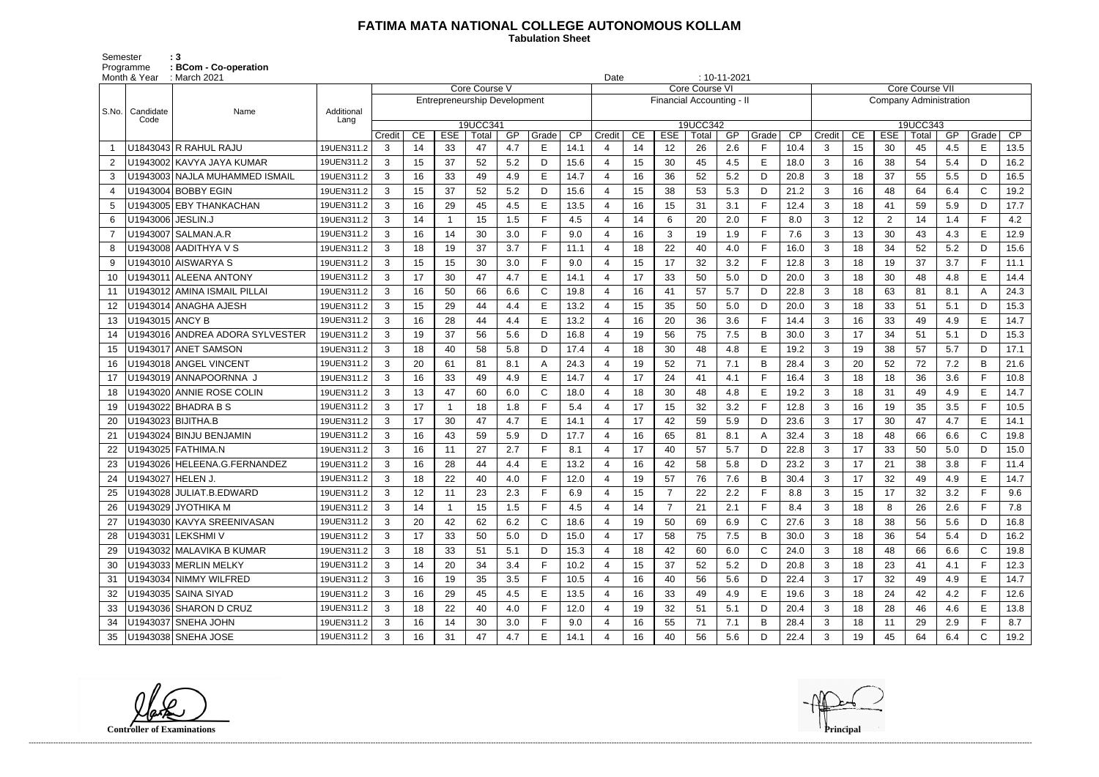## **FATIMA MATA NATIONAL COLLEGE AUTONOMOUS KOLLAM**

 **Tabulation Sheet** 

Semester : 3 Programme **: BCom - Co-operation**

|                | Month & Year        | : March 2021                    |                    |        |    |                                     |               |     |              |      |                |    | $: 10 - 11 - 2021$<br>Date |                       |     |              |      |              |    |                               |                 |     |              |      |
|----------------|---------------------|---------------------------------|--------------------|--------|----|-------------------------------------|---------------|-----|--------------|------|----------------|----|----------------------------|-----------------------|-----|--------------|------|--------------|----|-------------------------------|-----------------|-----|--------------|------|
|                |                     |                                 |                    |        |    |                                     | Core Course V |     |              |      |                |    |                            | <b>Core Course VI</b> |     |              |      |              |    |                               | Core Course VII |     |              |      |
|                |                     |                                 |                    |        |    | <b>Entrepreneurship Development</b> |               |     |              |      |                |    | Financial Accounting - II  |                       |     |              |      |              |    | <b>Company Administration</b> |                 |     |              |      |
| S.No.          | Candidate<br>Code   | Name                            | Additional<br>Lang |        |    |                                     | 19UCC341      |     |              |      |                |    |                            | 19UCC342              |     |              |      |              |    |                               | 19UCC343        |     |              |      |
|                |                     |                                 |                    | Credit | CE | <b>ESE</b>                          | Total         | GP  | Grade        | CP   | Credit         | CE | <b>ESE</b>                 | Total                 | GP  | Grade        | CP   | Credit       | CE | <b>ESE</b>                    | Total           | GP  | Grade        | CP   |
|                |                     | U1843043 R RAHUL RAJU           | 19UEN311.2         | 3      | 14 | 33                                  | 47            | 4.7 | E.           | 14.1 |                | 14 | 12                         | 26                    | 2.6 | F            | 10.4 | 3            | 15 | 30                            | 45              | 4.5 | E.           | 13.5 |
| $\overline{2}$ |                     | U1943002 KAVYA JAYA KUMAR       | 19UEN311.2         | 3      | 15 | 37                                  | 52            | 5.2 | D            | 15.6 |                | 15 | 30                         | 45                    | 4.5 | E            | 18.0 | 3            | 16 | 38                            | 54              | 5.4 | D            | 16.2 |
| 3              |                     | U1943003 NAJLA MUHAMMED ISMAIL  | 19UEN311.2         | 3      | 16 | 33                                  | 49            | 4.9 | E            | 14.7 | $\overline{4}$ | 16 | 36                         | 52                    | 5.2 | D            | 20.8 | 3            | 18 | 37                            | 55              | 5.5 | D            | 16.5 |
| 4              |                     | U1943004 BOBBY EGIN             | 19UEN311.2         | 3      | 15 | 37                                  | 52            | 5.2 | D            | 15.6 |                | 15 | 38                         | 53                    | 5.3 | D            | 21.2 | 3            | 16 | 48                            | 64              | 6.4 | $\mathsf{C}$ | 19.2 |
| 5              |                     | U1943005 EBY THANKACHAN         | 19UEN311.2         | 3      | 16 | 29                                  | 45            | 4.5 | E.           | 13.5 |                | 16 | 15                         | 31                    | 3.1 | $\mathsf{F}$ | 12.4 | 3            | 18 | 41                            | 59              | 5.9 | D            | 17.7 |
| 6              | U1943006   JESLIN.J |                                 | 19UEN311.2         | 3      | 14 | -1                                  | 15            | 1.5 | F.           | 4.5  |                | 14 | 6                          | 20                    | 2.0 | F            | 8.0  | 3            | 12 | $\overline{2}$                | 14              | 1.4 | F.           | 4.2  |
| $\overline{7}$ |                     | U1943007   SALMAN.A.R           | 19UEN311.2         | 3      | 16 | 14                                  | 30            | 3.0 | F.           | 9.0  |                | 16 | 3                          | 19                    | 1.9 | E            | 7.6  | 3            | 13 | 30                            | 43              | 4.3 | E            | 12.9 |
| 8              |                     | U1943008 AADITHYA V S           | 19UEN311.2         | 3      | 18 | 19                                  | 37            | 3.7 | F.           | 11.1 | $\overline{4}$ | 18 | 22                         | 40                    | 4.0 | F            | 16.0 | 3            | 18 | 34                            | 52              | 5.2 | D            | 15.6 |
| 9              |                     | U1943010 AISWARYA S             | 19UEN311.2         | 3      | 15 | 15                                  | 30            | 3.0 | F            | 9.0  |                | 15 | 17                         | 32                    | 3.2 | F            | 12.8 | 3            | 18 | 19                            | 37              | 3.7 | F.           | 11.1 |
| 10             |                     | U1943011 ALEENA ANTONY          | 19UEN311.2         | 3      | 17 | 30                                  | 47            | 4.7 | E.           | 14.1 | 4              | 17 | 33                         | 50                    | 5.0 | D            | 20.0 | 3            | 18 | 30                            | 48              | 4.8 | E            | 14.4 |
| 11             |                     | U1943012 AMINA ISMAIL PILLAI    | 19UEN311.2         | 3      | 16 | 50                                  | 66            | 6.6 | C            | 19.8 |                | 16 | 41                         | 57                    | 5.7 | D            | 22.8 | 3            | 18 | 63                            | 81              | 8.1 | A            | 24.3 |
| 12             |                     | U1943014   ANAGHA AJESH         | 19UEN311.2         | 3      | 15 | 29                                  | 44            | 4.4 | E            | 13.2 |                | 15 | 35                         | 50                    | 5.0 | D            | 20.0 | 3            | 18 | 33                            | 51              | 5.1 | D            | 15.3 |
| 13             | U1943015   ANCY B   |                                 | 19UEN311.2         | 3      | 16 | 28                                  | 44            | 4.4 | E            | 13.2 | $\overline{4}$ | 16 | 20                         | 36                    | 3.6 | $\mathsf F$  | 14.4 | 3            | 16 | 33                            | 49              | 4.9 | E            | 14.7 |
| 14             |                     | U1943016 ANDREA ADORA SYLVESTER | 19UEN311.2         | 3      | 19 | 37                                  | 56            | 5.6 | D            | 16.8 |                | 19 | 56                         | 75                    | 7.5 | B            | 30.0 | 3            | 17 | 34                            | 51              | 5.1 | D            | 15.3 |
| 15             |                     | U1943017 ANET SAMSON            | 19UEN311.2         | 3      | 18 | 40                                  | 58            | 5.8 | D            | 17.4 | $\overline{a}$ | 18 | 30                         | 48                    | 4.8 | E            | 19.2 | 3            | 19 | 38                            | 57              | 5.7 | D            | 17.1 |
| 16             |                     | U1943018 ANGEL VINCENT          | 19UEN311.2         | 3      | 20 | 61                                  | 81            | 8.1 | А            | 24.3 |                | 19 | 52                         | 71                    | 7.1 | B            | 28.4 | 3            | 20 | 52                            | 72              | 7.2 | B            | 21.6 |
| 17             |                     | U1943019 ANNAPOORNNA J          | 19UEN311.2         | 3      | 16 | 33                                  | 49            | 4.9 | E            | 14.7 |                | 17 | 24                         | 41                    | 4.1 | F            | 16.4 | 3            | 18 | 18                            | 36              | 3.6 | F.           | 10.8 |
| 18             |                     | U1943020 ANNIE ROSE COLIN       | 19UEN311.2         | 3      | 13 | 47                                  | 60            | 6.0 | $\mathsf{C}$ | 18.0 |                | 18 | 30                         | 48                    | 4.8 | E            | 19.2 | 3            | 18 | 31                            | 49              | 4.9 | E            | 14.7 |
| 19             |                     | U1943022 BHADRA B S             | 19UEN311.2         | 3      | 17 | $\mathbf 1$                         | 18            | 1.8 | F            | 5.4  |                | 17 | 15                         | 32                    | 3.2 | $\mathsf{F}$ | 12.8 | 3            | 16 | 19                            | 35              | 3.5 | E.           | 10.5 |
| 20             |                     | U1943023 BIJITHA.B              | 19UEN311.2         | 3      | 17 | 30                                  | 47            | 4.7 | E.           | 14.1 | 4              | 17 | 42                         | 59                    | 5.9 | D            | 23.6 | 3            | 17 | 30                            | 47              | 4.7 | E            | 14.1 |
| 21             |                     | U1943024 BINJU BENJAMIN         | 19UEN311.2         | 3      | 16 | 43                                  | 59            | 5.9 | D            | 17.7 |                | 16 | 65                         | 81                    | 8.1 | $\mathsf{A}$ | 32.4 | 3            | 18 | 48                            | 66              | 6.6 | $\mathsf{C}$ | 19.8 |
| 22             |                     | U1943025   FATHIMA.N            | 19UEN311.2         | 3      | 16 | 11                                  | 27            | 2.7 | F            | 8.1  |                | 17 | 40                         | 57                    | 5.7 | D            | 22.8 | 3            | 17 | 33                            | 50              | 5.0 | D            | 15.0 |
| 23             |                     | U1943026   HELEENA.G.FERNANDEZ  | 19UEN311.2         | 3      | 16 | 28                                  | 44            | 4.4 | E            | 13.2 |                | 16 | 42                         | 58                    | 5.8 | D            | 23.2 | 3            | 17 | 21                            | 38              | 3.8 | F.           | 11.4 |
| 24             | U1943027 HELEN J.   |                                 | 19UEN311.2         | 3      | 18 | 22                                  | 40            | 4.0 |              | 12.0 |                | 19 | 57                         | 76                    | 7.6 | B            | 30.4 | 3            | 17 | 32                            | 49              | 4.9 | E            | 14.7 |
|                |                     | U1943028 JULIAT.B.EDWARD        | 19UEN311.2         | 3      | 12 | 11                                  | 23            | 2.3 | F            | 6.9  | 4              | 15 |                            | 22                    | 2.2 | F            | 8.8  | 3            | 15 | 17                            | 32              | 3.2 | F            | 9.6  |
|                |                     | U1943029 JYOTHIKA M             | 19UEN311.2         | 3      | 14 |                                     | 15            | 1.5 | F.           | 4.5  |                | 14 |                            | 21                    | 2.1 | F            | 8.4  | 3            | 18 | 8                             | 26              | 2.6 |              | 7.8  |
| 27             |                     | U1943030 KAVYA SREENIVASAN      | 19UEN311.2         | 3      | 20 | 42                                  | 62            | 6.2 | C            | 18.6 | $\overline{4}$ | 19 | 50                         | 69                    | 6.9 | C            | 27.6 | $\mathbf{3}$ | 18 | 38                            | 56              | 5.6 | D            | 16.8 |
| 28             |                     | U1943031 LEKSHMI V              | 19UEN311.2         | 3      | 17 | 33                                  | 50            | 5.0 | D            | 15.0 | 4              | 17 | 58                         | 75                    | 7.5 | B            | 30.0 | 3            | 18 | 36                            | 54              | 5.4 | D            | 16.2 |
| 29             |                     | U1943032 MALAVIKA B KUMAR       | 19UEN311.2         | 3      | 18 | 33                                  | 51            | 5.1 | D            | 15.3 |                | 18 | 42                         | 60                    | 6.0 | C            | 24.0 | $\mathbf{3}$ | 18 | 48                            | 66              | 6.6 | $\mathsf{C}$ | 19.8 |
| 30             |                     | U1943033 MERLIN MELKY           | 19UEN311.2         | 3      | 14 | 20                                  | 34            | 3.4 | F.           | 10.2 | 4              | 15 | 37                         | 52                    | 5.2 | D            | 20.8 | $\mathbf{3}$ | 18 | 23                            | 41              | 4.1 | F.           | 12.3 |
| 31             |                     | U1943034 NIMMY WILFRED          | 19UEN311.2         | 3      | 16 | 19                                  | 35            | 3.5 | F.           | 10.5 |                | 16 | 40                         | 56                    | 5.6 | D            | 22.4 | $\mathbf{3}$ | 17 | 32                            | 49              | 4.9 | E.           | 14.7 |
| 32             |                     | U1943035 SAINA SIYAD            | 19UEN311.2         | 3      | 16 | 29                                  | 45            | 4.5 | E.           | 13.5 |                | 16 | 33                         | 49                    | 4.9 | E            | 19.6 | $\mathbf{3}$ | 18 | 24                            | 42              | 4.2 | F.           | 12.6 |
| 33             |                     | U1943036 SHARON D CRUZ          | 19UEN311.2         | 3      | 18 | 22                                  | 40            | 4.0 | F.           | 12.0 | 4              | 19 | 32                         | 51                    | 5.1 | D            | 20.4 | 3            | 18 | 28                            | 46              | 4.6 | E            | 13.8 |
| 34             |                     | U1943037 SNEHA JOHN             | 19UEN311.2         | 3      | 16 | 14                                  | 30            | 3.0 | F.           | 9.0  |                | 16 | 55                         | 71                    | 7.1 | B            | 28.4 | $\mathbf{3}$ | 18 | 11                            | 29              | 2.9 |              | 8.7  |
| 35             |                     | U1943038 SNEHA JOSE             | 19UEN311.2         | 3      | 16 | 31                                  | 47            | 4.7 | E            | 14.1 |                | 16 | 40                         | 56                    | 5.6 | D            | 22.4 | $\mathbf{3}$ | 19 | 45                            | 64              | 6.4 | C            | 19.2 |

**Controller of Examinations**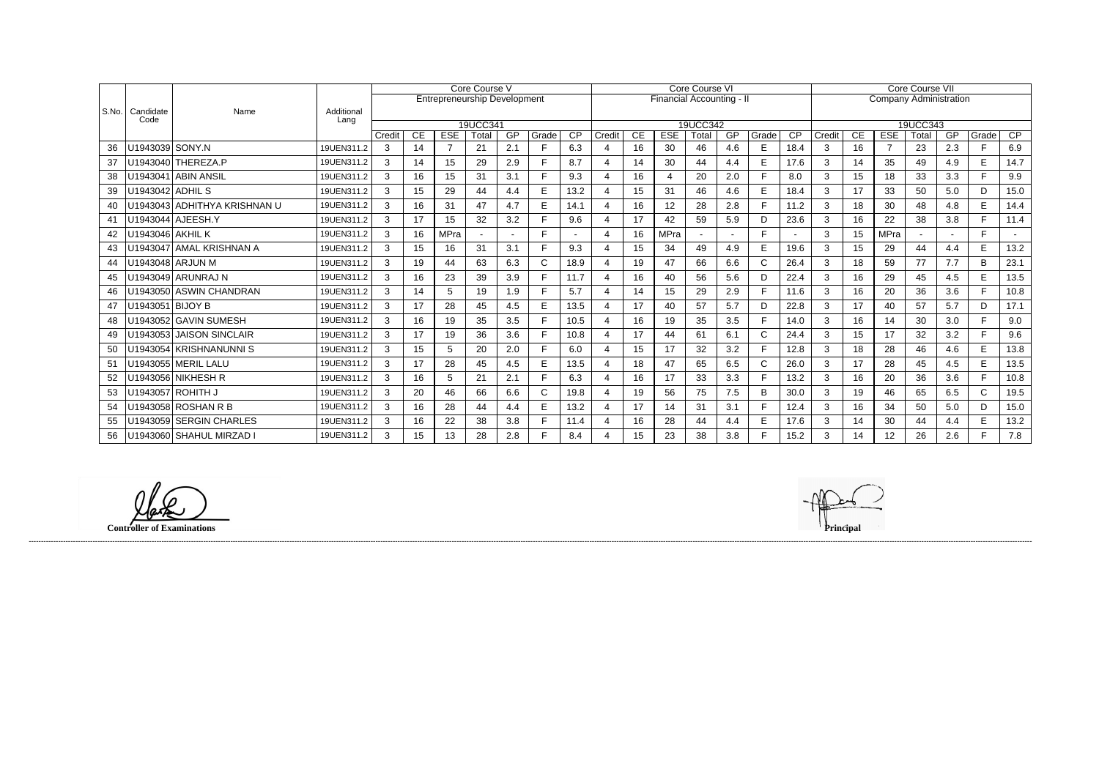|       |                   |                              | Core Course V      |               |                  |                                     |          |        |              | Core Course VI  |        |    |                           |          |     |              | <b>Core Course VII</b> |                               |                  |                              |          |     |              |      |
|-------|-------------------|------------------------------|--------------------|---------------|------------------|-------------------------------------|----------|--------|--------------|-----------------|--------|----|---------------------------|----------|-----|--------------|------------------------|-------------------------------|------------------|------------------------------|----------|-----|--------------|------|
|       |                   |                              |                    |               |                  | <b>Entrepreneurship Development</b> |          |        |              |                 |        |    | Financial Accounting - II |          |     |              |                        | <b>Company Administration</b> |                  |                              |          |     |              |      |
| S.No. | Candidate<br>Code | Name                         | Additional<br>Lang |               |                  |                                     |          |        |              |                 |        |    |                           |          |     |              |                        |                               |                  |                              |          |     |              |      |
|       |                   |                              |                    |               |                  |                                     | 19UCC341 |        |              |                 |        |    |                           | 19UCC342 |     |              |                        |                               |                  |                              | 19UCC343 |     |              |      |
|       |                   |                              |                    | Credit        | CE               | <b>ESE</b>                          | Total    | GP     | Grade<br>F.  | $\overline{CP}$ | Credit | CE | <b>ESE</b>                | Total    | GP  | Grade        | $\overline{CP}$        | Credit                        | CE               | <b>ESE</b><br>$\overline{7}$ | Total    | GP  | Grade<br>F.  | CP   |
| 36    | U1943039 SONY.N   |                              | 19UEN311.2         | $\mathcal{S}$ | 14               | $\overline{7}$                      | 21       | 2.1    |              | 6.3             |        | 16 | 30                        | 46       | 4.6 | E            | 18.4                   | 3                             | 16               |                              | 23       | 2.3 |              | 6.9  |
| 37    |                   | U1943040 THEREZA.P           | 19UEN311.2         | 3             | 14               | 15                                  | 29       | 2.9    | F.           | 8.7             |        | 14 | 30                        | 44       | 4.4 | E            | 17.6                   | 3                             | 14               | 35                           | 49       | 4.9 | E            | 14.7 |
| 38    |                   | U1943041 ABIN ANSIL          | 19UEN311.2         | 3             | 16               | 15                                  | 31       | 3.1    | Е            | 9.3             |        | 16 |                           | 20       | 2.0 | E            | 8.0                    | 3                             | 15               | 18                           | 33       | 3.3 | F.           | 9.9  |
| 39    | U1943042 ADHIL S  |                              | 19UEN311.2         | 3             | 15 <sub>15</sub> | 29                                  | 44       | 4.4    | E.           | 13.2            |        | 15 | 31                        | 46       | 4.6 | E            | 18.4                   | $\mathbf{3}$                  | 17               | 33                           | 50       | 5.0 | D            | 15.0 |
| 40    |                   | U1943043 ADHITHYA KRISHNAN U | 19UEN311.2         | 3             | 16               | 31                                  | 47       | 4.7    | Е            | 14.1            |        | 16 | 12                        | 28       | 2.8 | E            | 11.2                   | 3                             | 18               | 30                           | 48       | 4.8 | E            | 14.4 |
| 41    |                   | U1943044 AJEESH.Y            | 19UEN311.2         | 3             | 17               | 15                                  | 32       | 3.2    |              | 9.6             |        | 17 | 42                        | 59       | 5.9 | D            | 23.6                   | 3                             | 16               | 22                           | 38       | 3.8 | F.           | 11.4 |
| 42    | U1943046 AKHIL K  |                              | 19UEN311.2         | 3             | 16               | <b>MPra</b>                         |          | $\sim$ |              |                 |        | 16 | <b>MPra</b>               |          |     | E            |                        | 3                             | 15 <sup>15</sup> | <b>MPra</b>                  |          |     | E            |      |
| 43    |                   | U1943047 AMAL KRISHNAN A     | 19UEN311.2         | 3             | 15               | 16                                  | 31       | 3.1    | Е            | 9.3             |        | 15 | 34                        | 49       | 4.9 | E            | 19.6                   | 3                             | 15               | 29                           | 44       | 4.4 | E            | 13.2 |
| 44    |                   | U1943048 ARJUN M             | 19UEN311.2         | 3             | 19               | 44                                  | 63       | 6.3    | C.           | 18.9            |        | 19 | 47                        | 66       | 6.6 | C            | 26.4                   | 3                             | 18               | 59                           | 77       | 7.7 | B            | 23.1 |
| 45    |                   | U1943049 ARUNRAJ N           | 19UEN311.2         | 3             | 16               | 23                                  | 39       | 3.9    |              | 11.7            |        | 16 | 40                        | 56       | 5.6 | D            | 22.4                   | 3                             | 16               | 29                           | 45       | 4.5 | E            | 13.5 |
| 46    |                   | U1943050 ASWIN CHANDRAN      | 19UEN311.2         | 3             | 14               | 5                                   | 19       | 1.9    |              | 5.7             |        | 14 | 15                        | 29       | 2.9 | E            | 11.6                   | 3                             | 16               | 20                           | 36       | 3.6 | F.           | 10.8 |
| 47    | U1943051 BIJOY B  |                              | 19UEN311.2         | 3             | 17               | 28                                  | 45       | 4.5    | E            | 13.5            |        | 17 | 40                        | 57       | 5.7 | D            | 22.8                   | 3                             | 17               | 40                           | 57       | 5.7 | D            | 17.1 |
| 48    |                   | U1943052 GAVIN SUMESH        | 19UEN311.2         | 3             | 16               | 19                                  | 35       | 3.5    | Е            | 10.5            |        | 16 | 19                        | 35       | 3.5 | F            | 14.0                   | 3                             | 16               | 14                           | 30       | 3.0 | E.           | 9.0  |
| 49    |                   | U1943053 JAISON SINCLAIR     | 19UEN311.2         | 3             | 17               | 19                                  | 36       | 3.6    |              | 10.8            |        | 17 | 44                        | 61       | 6.1 | $\mathsf{C}$ | 24.4                   | 3                             | 15               | 17                           | 32       | 3.2 | Е            | 9.6  |
| 50    |                   | U1943054 KRISHNANUNNI S      | 19UEN311.2         | 3             | 15               | 5                                   | 20       | 2.0    | Е            | 6.0             |        | 15 | 17                        | 32       | 3.2 | E            | 12.8                   | 3                             | 18               | 28                           | 46       | 4.6 | E            | 13.8 |
| 51    |                   | U1943055 MERIL LALU          | 19UEN311.2         | 3             | 17               | 28                                  | 45       | 4.5    | E            | 13.5            |        | 18 | 47                        | 65       | 6.5 | $\mathsf{C}$ | 26.0                   | 3                             | 17               | 28                           | 45       | 4.5 | E            | 13.5 |
| 52    |                   | U1943056 NIKHESH R           | 19UEN311.2         | 3             | 16               | 5                                   | 21       | 2.1    | Е            | 6.3             |        | 16 | 17                        | 33       | 3.3 | E            | 13.2                   | 3                             | 16               | 20                           | 36       | 3.6 | E.           | 10.8 |
| 53    |                   | U1943057 ROHITH J            | 19UEN311.2         | 3             | 20               | 46                                  | 66       | 6.6    | $\mathsf{C}$ | 19.8            |        | 19 | 56                        | 75       | 7.5 | B            | 30.0                   | 3                             | 19               | 46                           | 65       | 6.5 | $\mathsf{C}$ | 19.5 |
| 54    |                   | U1943058 ROSHAN R B          | 19UEN311.2         | 3             | 16               | 28                                  | 44       | 4.4    | E            | 13.2            |        | 17 | 14                        | 31       | 3.1 | E            | 12.4                   | 3                             | 16               | 34                           | 50       | 5.0 | D            | 15.0 |
| 55    |                   | U1943059 SERGIN CHARLES      | 19UEN311.2         | 3             | 16               | 22                                  | 38       | 3.8    |              | 11.4            |        | 16 | 28                        | 44       | 4.4 | E            | 17.6                   | 3                             | 14               | 30                           | 44       | 4.4 | E            | 13.2 |
| 56    |                   | U1943060 SHAHUL MIRZAD I     | 19UEN311.2         | 3             | 15 <sub>1</sub>  | 13                                  | 28       | 2.8    |              | 8.4             |        | 15 | 23                        | 38       | 3.8 | E            | 15.2                   | 3                             | 14               | 12                           | 26       | 2.6 | Е            | 7.8  |

**Controller of Examinations Principal**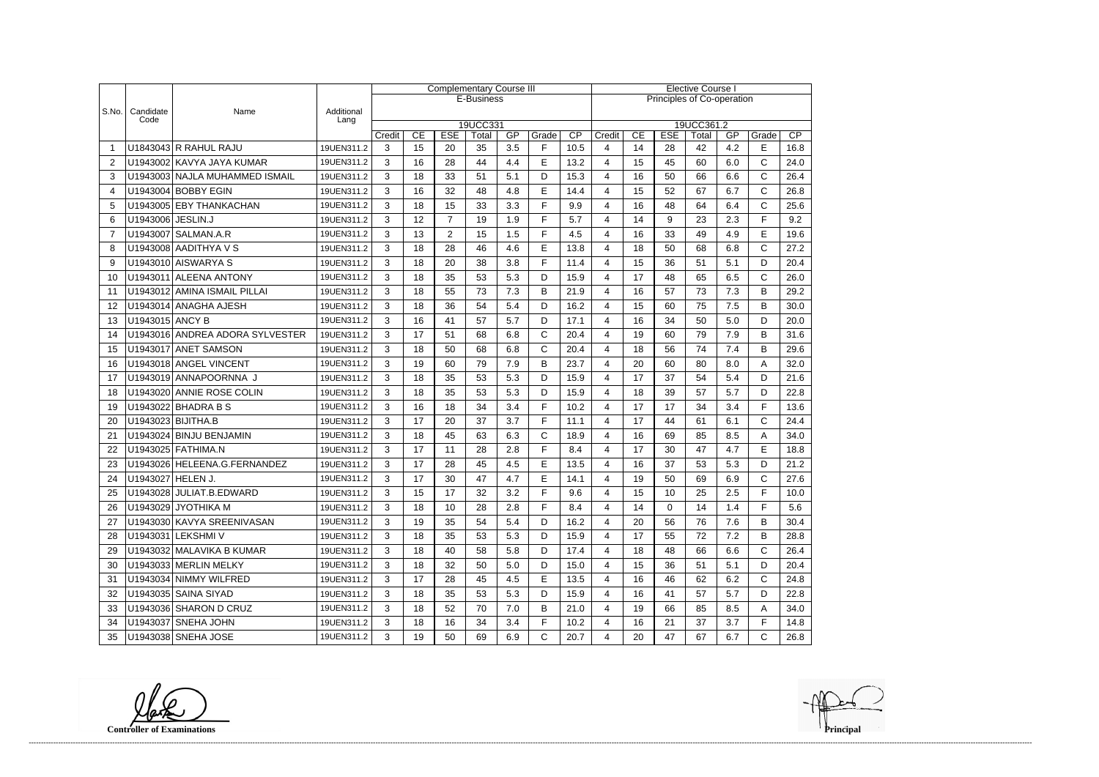|                |                   |                                 | <b>Complementary Course III</b> |   |                                                                                                                                              |                |            |     |              |      | <b>Elective Course I</b>   |    |    |    |     |              |      |  |
|----------------|-------------------|---------------------------------|---------------------------------|---|----------------------------------------------------------------------------------------------------------------------------------------------|----------------|------------|-----|--------------|------|----------------------------|----|----|----|-----|--------------|------|--|
|                |                   |                                 |                                 |   |                                                                                                                                              |                | E-Business |     |              |      | Principles of Co-operation |    |    |    |     |              |      |  |
| S.No.          | Candidate<br>Code | Name                            | Additional<br>Lang              |   |                                                                                                                                              |                |            |     |              |      |                            |    |    |    |     |              |      |  |
|                |                   |                                 |                                 |   | 19UCC331<br>19UCC361.2<br>CE<br><b>ESE</b><br>GP<br>Grade<br>$\overline{CP}$<br>CE<br><b>ESE</b><br>GP<br>Credit<br>Credit<br>Total<br>Total |                |            |     |              |      |                            |    |    |    |     | Grade        | CP   |  |
| -1             |                   | U1843043 R RAHUL RAJU           | 19UEN311.2                      | 3 | 15                                                                                                                                           | 20             | 35         | 3.5 | F            | 10.5 | 4                          | 14 | 28 | 42 | 4.2 | E            | 16.8 |  |
| 2              |                   | U1943002 KAVYA JAYA KUMAR       | 19UEN311.2                      | 3 | 16                                                                                                                                           | 28             | 44         | 4.4 | E            | 13.2 | 4                          | 15 | 45 | 60 | 6.0 | $\mathsf{C}$ | 24.0 |  |
| 3              |                   | U1943003 NAJLA MUHAMMED ISMAIL  | 19UEN311.2                      | 3 | 18                                                                                                                                           | 33             | 51         | 5.1 | D            | 15.3 | 4                          | 16 | 50 | 66 | 6.6 | C            | 26.4 |  |
| 4              |                   | U1943004 BOBBY EGIN             | 19UEN311.2                      | 3 | 16                                                                                                                                           | 32             | 48         | 4.8 | E            | 14.4 | 4                          | 15 | 52 | 67 | 6.7 | $\mathsf{C}$ | 26.8 |  |
| 5              |                   | U1943005 EBY THANKACHAN         | 19UEN311.2                      | 3 | 18                                                                                                                                           | 15             | 33         | 3.3 | F            | 9.9  | 4                          | 16 | 48 | 64 | 6.4 | C            | 25.6 |  |
| 6              | U1943006 JESLIN.J |                                 | 19UEN311.2                      | 3 | 12                                                                                                                                           | $\overline{7}$ | 19         | 1.9 | F            | 5.7  | 4                          | 14 | 9  | 23 | 2.3 | F            | 9.2  |  |
| $\overline{7}$ |                   | U1943007 SALMAN.A.R             | 19UEN311.2                      | 3 | 13                                                                                                                                           | $\overline{2}$ | 15         | 1.5 | F            | 4.5  | 4                          | 16 | 33 | 49 | 4.9 | E            | 19.6 |  |
| 8              |                   | U1943008 AADITHYA V S           | 19UEN311.2                      | 3 | 18                                                                                                                                           | 28             | 46         | 4.6 | E            | 13.8 | 4                          | 18 | 50 | 68 | 6.8 | $\mathsf{C}$ | 27.2 |  |
| 9              |                   | U1943010 AISWARYA S             | 19UEN311.2                      | 3 | 18                                                                                                                                           | 20             | 38         | 3.8 | F            | 11.4 | 4                          | 15 | 36 | 51 | 5.1 | D            | 20.4 |  |
| 10             |                   | U1943011 ALEENA ANTONY          | 19UEN311.2                      | 3 | 18                                                                                                                                           | 35             | 53         | 5.3 | D            | 15.9 | 4                          | 17 | 48 | 65 | 6.5 | C            | 26.0 |  |
| 11             |                   | U1943012 AMINA ISMAIL PILLAI    | 19UEN311.2                      | 3 | 18                                                                                                                                           | 55             | 73         | 7.3 | B            | 21.9 | 4                          | 16 | 57 | 73 | 7.3 | B            | 29.2 |  |
| 12             |                   | U1943014 ANAGHA AJESH           | 19UEN311.2                      | 3 | 18                                                                                                                                           | 36             | 54         | 5.4 | D            | 16.2 | 4                          | 15 | 60 | 75 | 7.5 | B            | 30.0 |  |
| 13             | U1943015 ANCY B   |                                 | 19UEN311.2                      | 3 | 16                                                                                                                                           | 41             | 57         | 5.7 | D            | 17.1 | 4                          | 16 | 34 | 50 | 5.0 | D            | 20.0 |  |
| 14             |                   | U1943016 ANDREA ADORA SYLVESTER | 19UEN311.2                      | 3 | 17                                                                                                                                           | 51             | 68         | 6.8 | $\mathsf{C}$ | 20.4 | 4                          | 19 | 60 | 79 | 7.9 | B            | 31.6 |  |
| 15             |                   | U1943017 ANET SAMSON            | 19UEN311.2                      | 3 | 18                                                                                                                                           | 50             | 68         | 6.8 | $\mathsf C$  | 20.4 | 4                          | 18 | 56 | 74 | 7.4 | B            | 29.6 |  |
| 16             |                   | U1943018 ANGEL VINCENT          | 19UEN311.2                      | 3 | 19                                                                                                                                           | 60             | 79         | 7.9 | B            | 23.7 | 4                          | 20 | 60 | 80 | 8.0 | Α            | 32.0 |  |
| 17             |                   | U1943019 ANNAPOORNNA J          | 19UEN311.2                      | 3 | 18                                                                                                                                           | 35             | 53         | 5.3 | D            | 15.9 | 4                          | 17 | 37 | 54 | 5.4 | D            | 21.6 |  |
| 18             |                   | U1943020 ANNIE ROSE COLIN       | 19UEN311.2                      | 3 | 18                                                                                                                                           | 35             | 53         | 5.3 | D            | 15.9 | 4                          | 18 | 39 | 57 | 5.7 | D            | 22.8 |  |
| 19             |                   | U1943022 BHADRA B S             | 19UEN311.2                      | 3 | 16                                                                                                                                           | 18             | 34         | 3.4 | F            | 10.2 | 4                          | 17 | 17 | 34 | 3.4 | F            | 13.6 |  |
| 20             |                   | U1943023 BIJITHA.B              | 19UEN311.2                      | 3 | 17                                                                                                                                           | 20             | 37         | 3.7 | F            | 11.1 | 4                          | 17 | 44 | 61 | 6.1 | C            | 24.4 |  |
| 21             |                   | U1943024 BINJU BENJAMIN         | 19UEN311.2                      | 3 | 18                                                                                                                                           | 45             | 63         | 6.3 | $\mathsf{C}$ | 18.9 | 4                          | 16 | 69 | 85 | 8.5 | Α            | 34.0 |  |
| 22             |                   | U1943025 FATHIMA.N              | 19UEN311.2                      | 3 | 17                                                                                                                                           | 11             | 28         | 2.8 | F            | 8.4  | 4                          | 17 | 30 | 47 | 4.7 | E            | 18.8 |  |
| 23             |                   | U1943026 HELEENA.G.FERNANDEZ    | 19UEN311.2                      | 3 | 17                                                                                                                                           | 28             | 45         | 4.5 | E            | 13.5 | 4                          | 16 | 37 | 53 | 5.3 | D            | 21.2 |  |
| 24             | U1943027 HELEN J. |                                 | 19UEN311.2                      | 3 | 17                                                                                                                                           | 30             | 47         | 4.7 | E            | 14.1 | 4                          | 19 | 50 | 69 | 6.9 | C            | 27.6 |  |
| 25             |                   | U1943028 JULIAT.B.EDWARD        | 19UEN311.2                      | 3 | 15                                                                                                                                           | 17             | 32         | 3.2 | F            | 9.6  | 4                          | 15 | 10 | 25 | 2.5 | F            | 10.0 |  |
| 26             |                   | U1943029 JYOTHIKA M             | 19UEN311.2                      | 3 | 18                                                                                                                                           | 10             | 28         | 2.8 | F            | 8.4  | 4                          | 14 | 0  | 14 | 1.4 | F            | 5.6  |  |
| 27             |                   | U1943030 KAVYA SREENIVASAN      | 19UEN311.2                      | 3 | 19                                                                                                                                           | 35             | 54         | 5.4 | D            | 16.2 | 4                          | 20 | 56 | 76 | 7.6 | B            | 30.4 |  |
| 28             |                   | U1943031 LEKSHMI V              | 19UEN311.2                      | 3 | 18                                                                                                                                           | 35             | 53         | 5.3 | D            | 15.9 | 4                          | 17 | 55 | 72 | 7.2 | B            | 28.8 |  |
| 29             |                   | U1943032 MALAVIKA B KUMAR       | 19UEN311.2                      | 3 | 18                                                                                                                                           | 40             | 58         | 5.8 | D            | 17.4 | 4                          | 18 | 48 | 66 | 6.6 | $\mathsf{C}$ | 26.4 |  |
| 30             |                   | U1943033 MERLIN MELKY           | 19UEN311.2                      | 3 | 18                                                                                                                                           | 32             | 50         | 5.0 | D            | 15.0 | 4                          | 15 | 36 | 51 | 5.1 | D            | 20.4 |  |
| 31             |                   | U1943034 NIMMY WILFRED          | 19UEN311.2                      | 3 | 17                                                                                                                                           | 28             | 45         | 4.5 | E            | 13.5 | 4                          | 16 | 46 | 62 | 6.2 | C            | 24.8 |  |
| 32             |                   | U1943035 SAINA SIYAD            | 19UEN311.2                      | 3 | 18                                                                                                                                           | 35             | 53         | 5.3 | D            | 15.9 | 4                          | 16 | 41 | 57 | 5.7 | D            | 22.8 |  |
| 33             |                   | U1943036 SHARON D CRUZ          | 19UEN311.2                      | 3 | 18                                                                                                                                           | 52             | 70         | 7.0 | B            | 21.0 | 4                          | 19 | 66 | 85 | 8.5 | A            | 34.0 |  |
| 34             |                   | U1943037 SNEHA JOHN             | 19UEN311.2                      | 3 | 18                                                                                                                                           | 16             | 34         | 3.4 | F            | 10.2 | 4                          | 16 | 21 | 37 | 3.7 | F            | 14.8 |  |
| 35             |                   | U1943038 SNEHA JOSE             | 19UEN311.2                      | 3 | 19                                                                                                                                           | 50             | 69         | 6.9 | C            | 20.7 | 4                          | 20 | 47 | 67 | 6.7 | C            | 26.8 |  |

**Controller of Examinations Principal**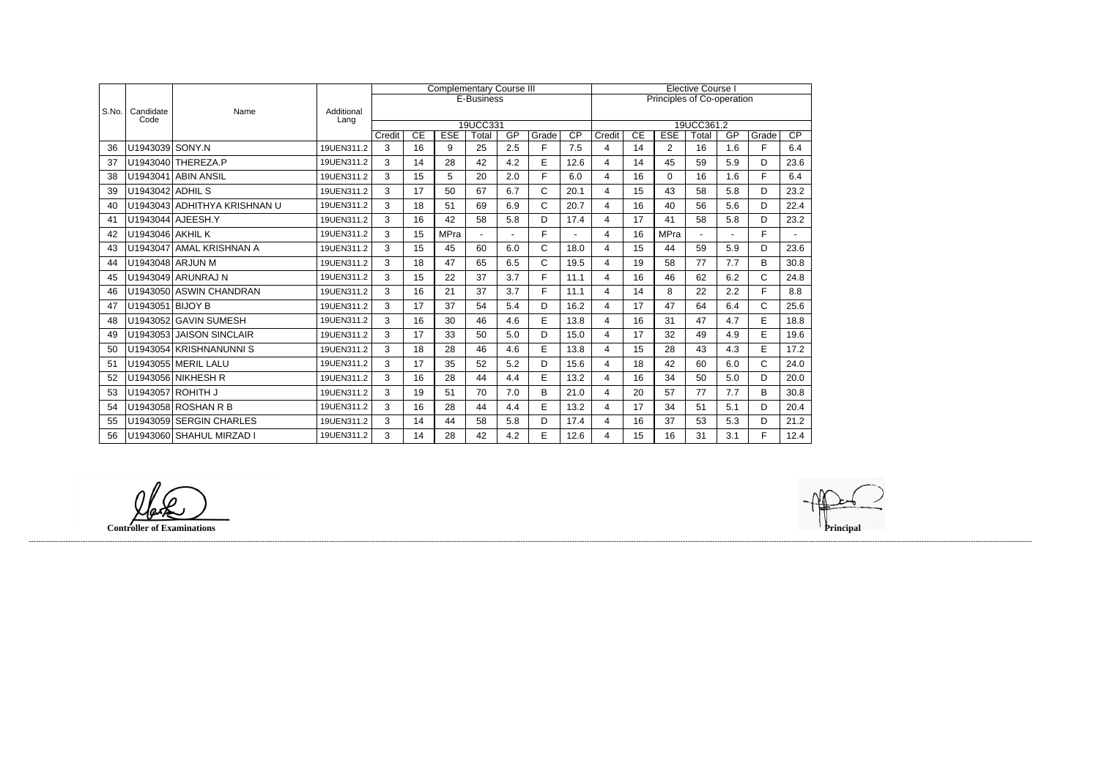|       |                   |                              |                    |        |    |             | <b>Complementary Course III</b> |     |            | <b>Elective Course I</b> |                |    |                            |            |     |             |                 |
|-------|-------------------|------------------------------|--------------------|--------|----|-------------|---------------------------------|-----|------------|--------------------------|----------------|----|----------------------------|------------|-----|-------------|-----------------|
|       |                   |                              |                    |        |    |             | E-Business                      |     |            |                          |                |    | Principles of Co-operation |            |     |             |                 |
| S.No. | Candidate<br>Code | Name                         | Additional<br>Lang |        |    |             |                                 |     |            |                          |                |    |                            |            |     |             |                 |
|       |                   |                              |                    |        |    |             | 19UCC331                        |     |            |                          |                |    |                            | 19UCC361.2 |     |             |                 |
|       |                   |                              |                    | Credit | CE | <b>ESE</b>  | Total                           | GP  | Grade<br>F | $\overline{CP}$          | Credit         | CE | <b>ESE</b>                 | Total      | GP  | Grade<br>F. | $\overline{CP}$ |
| 36    | U1943039 SONY.N   |                              | 19UEN311.2         | 3      | 16 | 9           | 25                              | 2.5 |            | 7.5                      | 4              | 14 | $\overline{2}$             | 16         | 1.6 |             | 6.4             |
| 37    |                   | U1943040 THEREZA.P           | 19UEN311.2         | 3      | 14 | 28          | 42                              | 4.2 | E          | 12.6                     | 4              | 14 | 45                         | 59         | 5.9 | D           | 23.6            |
| 38    |                   | U1943041 ABIN ANSIL          | 19UEN311.2         | 3      | 15 | 5           | 20                              | 2.0 | F          | 6.0                      | 4              | 16 | 0                          | 16         | 1.6 | F.          | 6.4             |
| 39    | U1943042 ADHIL S  |                              | 19UEN311.2         | 3      | 17 | 50          | 67                              | 6.7 | C          | 20.1                     | $\overline{4}$ | 15 | 43                         | 58         | 5.8 | D           | 23.2            |
| 40    |                   | U1943043 ADHITHYA KRISHNAN U | 19UEN311.2         | 3      | 18 | 51          | 69                              | 6.9 | C.         | 20.7                     | 4              | 16 | 40                         | 56         | 5.6 | D           | 22.4            |
| 41    |                   | U1943044 AJEESH.Y            | 19UEN311.2         | 3      | 16 | 42          | 58                              | 5.8 | D          | 17.4                     | $\overline{4}$ | 17 | 41                         | 58         | 5.8 | D           | 23.2            |
| 42    | U1943046 AKHIL K  |                              | 19UEN311.2         | 3      | 15 | <b>MPra</b> | $\sim$                          |     | F.         | $\overline{a}$           | $\overline{4}$ | 16 | MPra                       |            |     | F.          | $\sim$          |
| 43    |                   | U1943047 AMAL KRISHNAN A     | 19UEN311.2         | 3      | 15 | 45          | 60                              | 6.0 | C.         | 18.0                     | $\overline{4}$ | 15 | 44                         | 59         | 5.9 | D           | 23.6            |
| 44    |                   | U1943048 ARJUN M             | 19UEN311.2         | 3      | 18 | 47          | 65                              | 6.5 | C.         | 19.5                     | 4              | 19 | 58                         | 77         | 7.7 | B           | 30.8            |
| 45    |                   | U1943049 ARUNRAJ N           | 19UEN311.2         | 3      | 15 | 22          | 37                              | 3.7 | F          | 11.1                     | 4              | 16 | 46                         | 62         | 6.2 | C           | 24.8            |
| 46    |                   | U1943050 ASWIN CHANDRAN      | 19UEN311.2         | 3      | 16 | 21          | 37                              | 3.7 | F          | 11.1                     | 4              | 14 | 8                          | 22         | 2.2 | F           | 8.8             |
| 47    | U1943051 BIJOY B  |                              | 19UEN311.2         | 3      | 17 | 37          | 54                              | 5.4 | D          | 16.2                     | 4              | 17 | 47                         | 64         | 6.4 | C           | 25.6            |
| 48    |                   | U1943052 GAVIN SUMESH        | 19UEN311.2         | 3      | 16 | 30          | 46                              | 4.6 | E.         | 13.8                     | 4              | 16 | 31                         | 47         | 4.7 | E           | 18.8            |
| 49    | U1943053          | <b>JAISON SINCLAIR</b>       | 19UEN311.2         | 3      | 17 | 33          | 50                              | 5.0 | D          | 15.0                     | 4              | 17 | 32                         | 49         | 4.9 | E           | 19.6            |
| 50    |                   | U1943054 KRISHNANUNNI S      | 19UEN311.2         | 3      | 18 | 28          | 46                              | 4.6 | E          | 13.8                     | $\overline{4}$ | 15 | 28                         | 43         | 4.3 | E           | 17.2            |
| 51    |                   | U1943055 MERIL LALU          | 19UEN311.2         | 3      | 17 | 35          | 52                              | 5.2 | D          | 15.6                     | $\overline{4}$ | 18 | 42                         | 60         | 6.0 | C           | 24.0            |
| 52    |                   | U1943056 NIKHESH R           | 19UEN311.2         | 3      | 16 | 28          | 44                              | 4.4 | E          | 13.2                     | 4              | 16 | 34                         | 50         | 5.0 | D           | 20.0            |
| 53    |                   | U1943057 ROHITH J            | 19UEN311.2         | 3      | 19 | 51          | 70                              | 7.0 | B          | 21.0                     | 4              | 20 | 57                         | 77         | 7.7 | B           | 30.8            |
| 54    |                   | U1943058 ROSHAN R B          | 19UEN311.2         | 3      | 16 | 28          | 44                              | 4.4 | E          | 13.2                     | 4              | 17 | 34                         | 51         | 5.1 | D           | 20.4            |
| 55    |                   | U1943059 SERGIN CHARLES      | 19UEN311.2         | 3      | 14 | 44          | 58                              | 5.8 | D          | 17.4                     | $\overline{4}$ | 16 | 37                         | 53         | 5.3 | D           | 21.2            |
| 56    |                   | U1943060 SHAHUL MIRZAD I     | 19UEN311.2         | 3      | 14 | 28          | 42                              | 4.2 | E          | 12.6                     | 4              | 15 | 16                         | 31         | 3.1 | F           | 12.4            |

**Controller of Examinations Principal**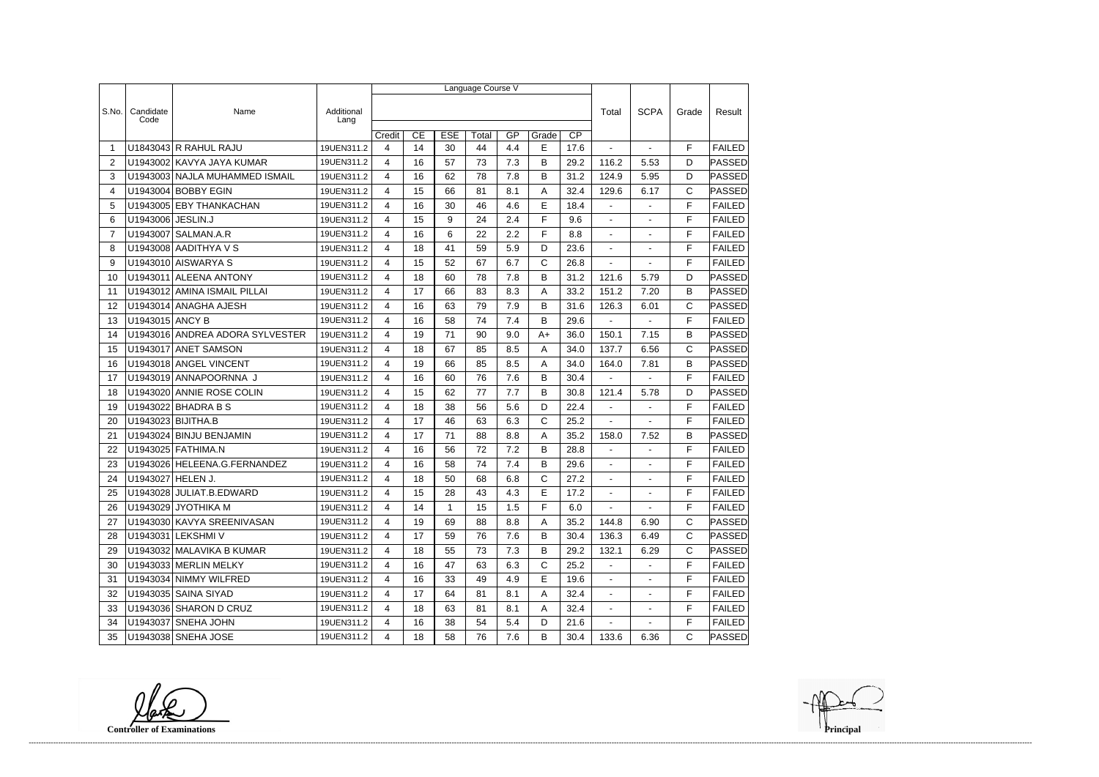|                |                   | Language Course V               |                    |        |                 |             |       |     |              |                 |                |                          |              |               |  |
|----------------|-------------------|---------------------------------|--------------------|--------|-----------------|-------------|-------|-----|--------------|-----------------|----------------|--------------------------|--------------|---------------|--|
|                |                   |                                 |                    |        |                 |             |       |     |              |                 |                |                          |              |               |  |
| S.No.          | Candidate<br>Code | Name                            | Additional<br>Lang |        |                 |             |       |     |              |                 | Total          | <b>SCPA</b>              | Grade        | Result        |  |
|                |                   |                                 |                    | Credit | $\overline{CE}$ | <b>ESE</b>  | Total | GP  | Grade        | $\overline{CP}$ |                |                          |              |               |  |
| $\overline{1}$ |                   | U1843043 R RAHUL RAJU           | 19UEN311.2         | 4      | 14              | 30          | 44    | 4.4 | E            | 17.6            |                | $\sim$                   | F            | <b>FAILED</b> |  |
| 2              |                   | U1943002 KAVYA JAYA KUMAR       | 19UEN311.2         | 4      | 16              | 57          | 73    | 7.3 | B            | 29.2            | 116.2          | 5.53                     | D            | <b>PASSED</b> |  |
| 3              |                   | U1943003 NAJLA MUHAMMED ISMAIL  | 19UEN311.2         | 4      | 16              | 62          | 78    | 7.8 | B            | 31.2            | 124.9          | 5.95                     | D            | <b>PASSED</b> |  |
| 4              |                   | U1943004 BOBBY EGIN             | 19UEN311.2         | 4      | 15              | 66          | 81    | 8.1 | Α            | 32.4            | 129.6          | 6.17                     | $\mathsf{C}$ | PASSED        |  |
| 5              |                   | U1943005 EBY THANKACHAN         | 19UEN311.2         | 4      | 16              | 30          | 46    | 4.6 | E            | 18.4            | $\blacksquare$ | $\blacksquare$           | F            | <b>FAILED</b> |  |
| 6              | U1943006 JESLIN.J |                                 | 19UEN311.2         | 4      | 15              | 9           | 24    | 2.4 | F            | 9.6             |                |                          | F            | <b>FAILED</b> |  |
| $\overline{7}$ |                   | U1943007 SALMAN.A.R             | 19UEN311.2         | 4      | 16              | 6           | 22    | 2.2 | F            | 8.8             | $\blacksquare$ |                          | F            | <b>FAILED</b> |  |
| 8              |                   | U1943008 AADITHYA V S           | 19UEN311.2         | 4      | 18              | 41          | 59    | 5.9 | D            | 23.6            | $\blacksquare$ | $\blacksquare$           | F            | <b>FAILED</b> |  |
| 9              |                   | U1943010 AISWARYA S             | 19UEN311.2         | 4      | 15              | 52          | 67    | 6.7 | C            | 26.8            |                |                          | F            | <b>FAILED</b> |  |
| 10             |                   | U1943011 ALEENA ANTONY          | 19UEN311.2         | 4      | 18              | 60          | 78    | 7.8 | B            | 31.2            | 121.6          | 5.79                     | D            | PASSED        |  |
| 11             |                   | U1943012 AMINA ISMAIL PILLAI    | 19UEN311.2         | 4      | 17              | 66          | 83    | 8.3 | A            | 33.2            | 151.2          | 7.20                     | B            | PASSED        |  |
| 12             |                   | U1943014 ANAGHA AJESH           | 19UEN311.2         | 4      | 16              | 63          | 79    | 7.9 | B            | 31.6            | 126.3          | 6.01                     | $\mathsf C$  | <b>PASSED</b> |  |
| 13             | U1943015 ANCY B   |                                 | 19UEN311.2         | 4      | 16              | 58          | 74    | 7.4 | B            | 29.6            |                |                          | F            | <b>FAILED</b> |  |
| 14             |                   | U1943016 ANDREA ADORA SYLVESTER | 19UEN311.2         | 4      | 19              | 71          | 90    | 9.0 | $A+$         | 36.0            | 150.1          | 7.15                     | B            | PASSED        |  |
| 15             |                   | U1943017 ANET SAMSON            | 19UEN311.2         | 4      | 18              | 67          | 85    | 8.5 | Α            | 34.0            | 137.7          | 6.56                     | $\mathsf{C}$ | PASSED        |  |
| 16             |                   | U1943018 ANGEL VINCENT          | 19UEN311.2         | 4      | 19              | 66          | 85    | 8.5 | Α            | 34.0            | 164.0          | 7.81                     | B            | PASSED        |  |
| 17             |                   | U1943019 ANNAPOORNNA J          | 19UEN311.2         | 4      | 16              | 60          | 76    | 7.6 | B            | 30.4            |                |                          | F            | <b>FAILED</b> |  |
| 18             |                   | U1943020 ANNIE ROSE COLIN       | 19UEN311.2         | 4      | 15              | 62          | 77    | 7.7 | B            | 30.8            | 121.4          | 5.78                     | D            | <b>PASSED</b> |  |
| 19             |                   | U1943022 BHADRA B S             | 19UEN311.2         | 4      | 18              | 38          | 56    | 5.6 | D            | 22.4            | $\blacksquare$ | $\sim$                   | F            | <b>FAILED</b> |  |
| 20             |                   | U1943023 BIJITHA.B              | 19UEN311.2         | 4      | 17              | 46          | 63    | 6.3 | C            | 25.2            | $\blacksquare$ | $\blacksquare$           | F            | <b>FAILED</b> |  |
| 21             |                   | U1943024 BINJU BENJAMIN         | 19UEN311.2         | 4      | 17              | 71          | 88    | 8.8 | A            | 35.2            | 158.0          | 7.52                     | B            | <b>PASSED</b> |  |
| 22             |                   | U1943025 FATHIMA.N              | 19UEN311.2         | 4      | 16              | 56          | 72    | 7.2 | B            | 28.8            | $\blacksquare$ | ä,                       | F            | <b>FAILED</b> |  |
| 23             |                   | U1943026 HELEENA.G.FERNANDEZ    | 19UEN311.2         | 4      | 16              | 58          | 74    | 7.4 | B            | 29.6            | $\blacksquare$ | $\overline{\phantom{a}}$ | F            | <b>FAILED</b> |  |
| 24             | U1943027 HELEN J. |                                 | 19UEN311.2         | 4      | 18              | 50          | 68    | 6.8 | $\mathsf{C}$ | 27.2            | $\blacksquare$ |                          | F            | <b>FAILED</b> |  |
| 25             |                   | U1943028 JULIAT.B.EDWARD        | 19UEN311.2         | 4      | 15              | 28          | 43    | 4.3 | E            | 17.2            | $\sim$         | $\sim$                   | F            | <b>FAILED</b> |  |
| 26             |                   | U1943029 JYOTHIKA M             | 19UEN311.2         | 4      | 14              | $\mathbf 1$ | 15    | 1.5 | F            | 6.0             |                |                          | F            | <b>FAILED</b> |  |
| 27             |                   | U1943030 KAVYA SREENIVASAN      | 19UEN311.2         | 4      | 19              | 69          | 88    | 8.8 | A            | 35.2            | 144.8          | 6.90                     | C            | PASSED        |  |
| 28             |                   | U1943031 LEKSHMI V              | 19UEN311.2         | 4      | 17              | 59          | 76    | 7.6 | B            | 30.4            | 136.3          | 6.49                     | С            | PASSED        |  |
| 29             |                   | U1943032 MALAVIKA B KUMAR       | 19UEN311.2         | 4      | 18              | 55          | 73    | 7.3 | B            | 29.2            | 132.1          | 6.29                     | $\mathsf{C}$ | <b>PASSED</b> |  |
| 30             |                   | U1943033 MERLIN MELKY           | 19UEN311.2         | 4      | 16              | 47          | 63    | 6.3 | C            | 25.2            | $\sim$         | $\blacksquare$           | F            | <b>FAILED</b> |  |
| 31             |                   | U1943034 NIMMY WILFRED          | 19UEN311.2         | 4      | 16              | 33          | 49    | 4.9 | E.           | 19.6            | $\sim$         |                          | F            | <b>FAILED</b> |  |
| 32             |                   | U1943035 SAINA SIYAD            | 19UEN311.2         | 4      | 17              | 64          | 81    | 8.1 | Α            | 32.4            | $\blacksquare$ |                          | F            | <b>FAILED</b> |  |
| 33             |                   | U1943036 SHARON D CRUZ          | 19UEN311.2         | 4      | 18              | 63          | 81    | 8.1 | A            | 32.4            | $\sim$         | $\overline{\phantom{a}}$ | F            | <b>FAILED</b> |  |
| 34             |                   | U1943037 SNEHA JOHN             | 19UEN311.2         | 4      | 16              | 38          | 54    | 5.4 | D            | 21.6            | $\sim$         |                          | F            | <b>FAILED</b> |  |
| 35             |                   | U1943038 SNEHA JOSE             | 19UEN311.2         | 4      | 18              | 58          | 76    | 7.6 | B            | 30.4            | 133.6          | 6.36                     | С            | <b>PASSED</b> |  |

**Controller of Examinations Principal**